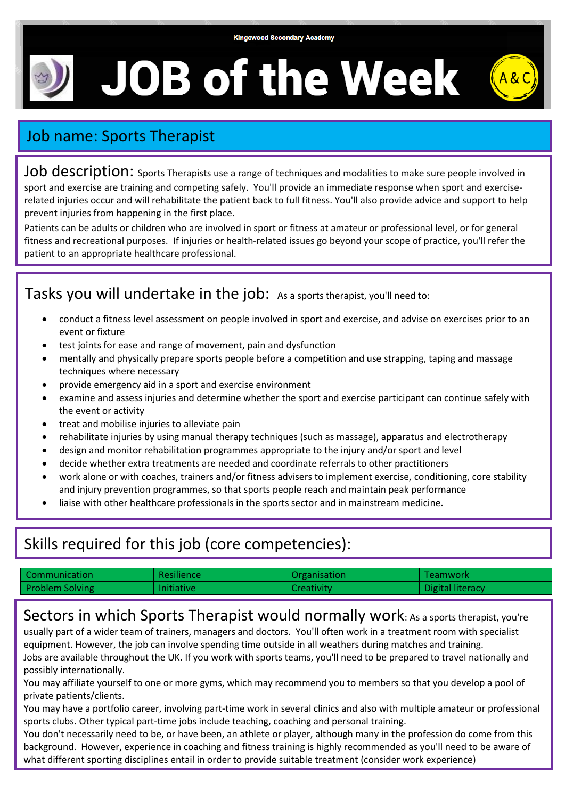# **JOB of the Week**



## Job name: Sports Therapist

Job description: sports Therapists use a range of techniques and modalities to make sure people involved in sport and exercise are training and competing safely. You'll provide an immediate response when sport and exerciserelated injuries occur and will rehabilitate the patient back to full fitness. You'll also provide advice and support to help prevent injuries from happening in the first place.

Patients can be adults or children who are involved in sport or fitness at amateur or professional level, or for general fitness and recreational purposes. If injuries or health-related issues go beyond your scope of practice, you'll refer the patient to an appropriate healthcare professional.

Tasks you will undertake in the job: As a sports therapist, you'll need to: You can find sports therapy work in sports injury clinics or directly with a sports club or sportsperson, either professional

- conduct a fitness level assessment on people involved in sport and exercise, and advise on exercises prior to an event or fixture
	- test joints for ease and range of movement, pain and dysfunction
	- mentally and physically prepare sports people before a competition and use strapping, taping and massage techniques where necessary
	- provide emergency aid in a sport and exercise environment
	- examine and assess injuries and determine whether the sport and exercise participant can continue safely with the event or activity
	- treat and mobilise injuries to alleviate pain
	- rehabilitate injuries by using manual therapy techniques (such as massage), apparatus and electrotherapy
	- design and monitor rehabilitation programmes appropriate to the injury and/or sport and level
	- decide whether extra treatments are needed and coordinate referrals to other practitioners
	- work alone or with coaches, trainers and/or fitness advisers to implement exercise, conditioning, core stability and injury prevention programmes, so that sports people reach and maintain peak performance
	- liaise with other healthcare professionals in the sports sector and in mainstream medicine.

### Skills required for this job (core competencies):

| Communication          | Resilience        | Organisation      | Teamwork         |
|------------------------|-------------------|-------------------|------------------|
| <b>Problem Solving</b> | <b>Initiative</b> | <b>Creativity</b> | Digital literacy |

Sectors in which Sports Therapist would normally work: As a sports therapist, you're

usually part of a wider team of trainers, managers and doctors. You'll often work in a treatment room with specialist equipment. However, the job can involve spending time outside in all weathers during matches and training. Jobs are available throughout the UK. If you work with sports teams, you'll need to be prepared to travel nationally and possibly internationally.

You may affiliate yourself to one or more gyms, which may recommend you to members so that you develop a pool of private patients/clients.

You may have a portfolio career, involving part-time work in several clinics and also with multiple amateur or professional sports clubs. Other typical part-time jobs include teaching, coaching and personal training.

You don't necessarily need to be, or have been, an athlete or player, although many in the profession do come from this background. However, experience in coaching and fitness training is highly recommended as you'll need to be aware of what different sporting disciplines entail in order to provide suitable treatment (consider work experience)